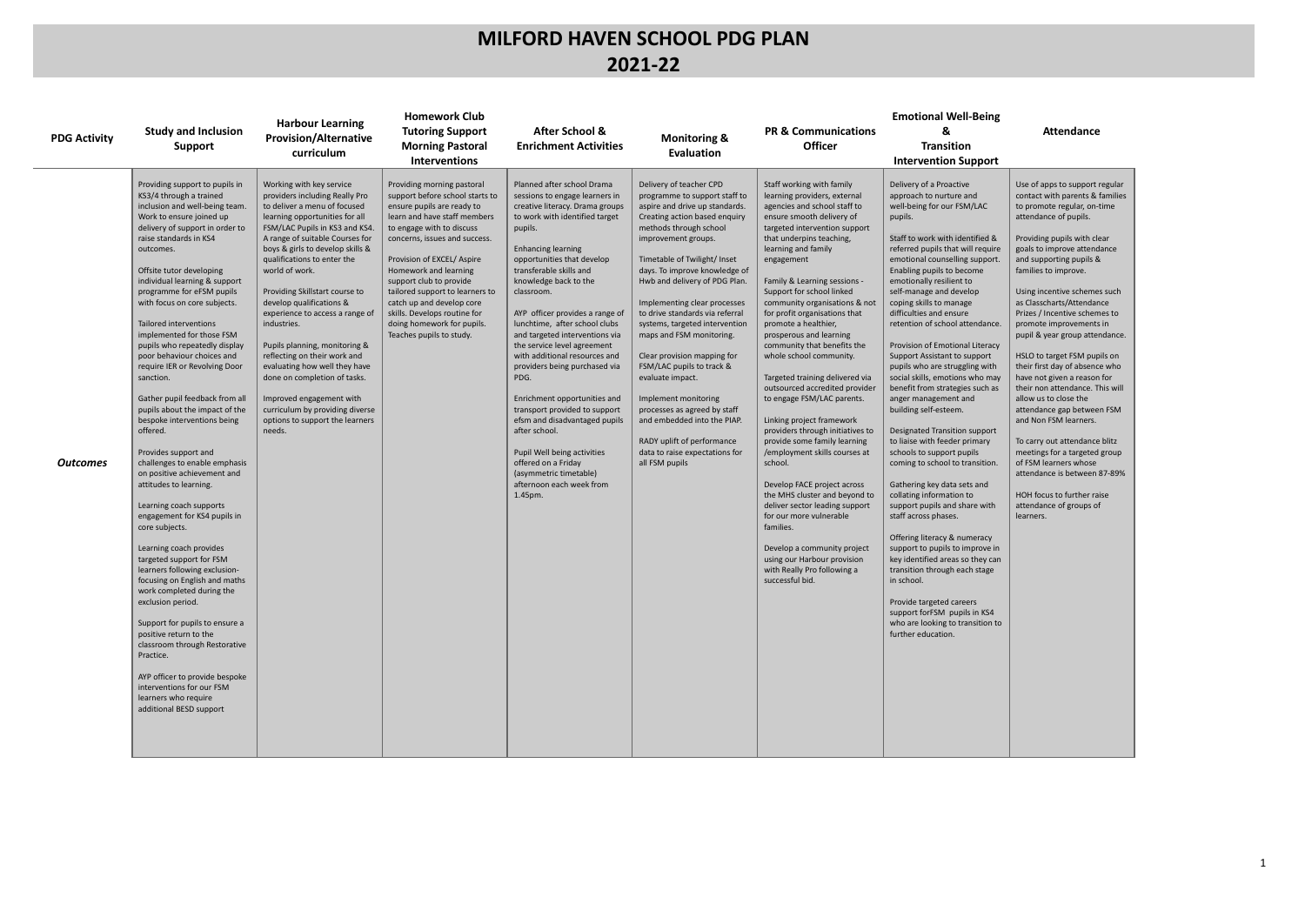## **MILFORD HAVEN SCHOOL PDG PLAN 2021-22**

| <b>PDG Activity</b> | <b>Study and Inclusion</b><br><b>Support</b>                                                                                                                                                                                                                                                                                                                                                                                                                                                                                                                                                                                                                                                                                                                                                                                                                                                                                                                                                                                                                                                                                                                                                                         | <b>Harbour Learning</b><br><b>Provision/Alternative</b><br>curriculum                                                                                                                                                                                                                                                                                                                                                                                                                                                                                                                                                                               | <b>Homework Club</b><br><b>Tutoring Support</b><br><b>Morning Pastoral</b><br>Interventions                                                                                                                                                                                                                                                                                                                                           | <b>After School &amp;</b><br><b>Enrichment Activities</b>                                                                                                                                                                                                                                                                                                                                                                                                                                                                                                                                                                                                                                                                          | <b>Monitoring &amp;</b><br><b>Evaluation</b>                                                                                                                                                                                                                                                                                                                                                                                                                                                                                                                                                                                                                             | <b>PR &amp; Communications</b><br><b>Officer</b>                                                                                                                                                                                                                                                                                                                                                                                                                                                                                                                                                                                                                                                                                                                                                                                                                                                                                                                               | <b>Emotional Well-Being</b><br>&<br><b>Transition</b><br><b>Intervention Support</b>                                                                                                                                                                                                                                                                                                                                                                                                                                                                                                                                                                                                                                                                                                                                                                                                                                                                                                                                                                                                                                                             | <b>Attendance</b>                                                                                                                                                                                                                                                                                                                                                                                                                                                                                                                                                                                                                                                                                                                                                                                                          |
|---------------------|----------------------------------------------------------------------------------------------------------------------------------------------------------------------------------------------------------------------------------------------------------------------------------------------------------------------------------------------------------------------------------------------------------------------------------------------------------------------------------------------------------------------------------------------------------------------------------------------------------------------------------------------------------------------------------------------------------------------------------------------------------------------------------------------------------------------------------------------------------------------------------------------------------------------------------------------------------------------------------------------------------------------------------------------------------------------------------------------------------------------------------------------------------------------------------------------------------------------|-----------------------------------------------------------------------------------------------------------------------------------------------------------------------------------------------------------------------------------------------------------------------------------------------------------------------------------------------------------------------------------------------------------------------------------------------------------------------------------------------------------------------------------------------------------------------------------------------------------------------------------------------------|---------------------------------------------------------------------------------------------------------------------------------------------------------------------------------------------------------------------------------------------------------------------------------------------------------------------------------------------------------------------------------------------------------------------------------------|------------------------------------------------------------------------------------------------------------------------------------------------------------------------------------------------------------------------------------------------------------------------------------------------------------------------------------------------------------------------------------------------------------------------------------------------------------------------------------------------------------------------------------------------------------------------------------------------------------------------------------------------------------------------------------------------------------------------------------|--------------------------------------------------------------------------------------------------------------------------------------------------------------------------------------------------------------------------------------------------------------------------------------------------------------------------------------------------------------------------------------------------------------------------------------------------------------------------------------------------------------------------------------------------------------------------------------------------------------------------------------------------------------------------|--------------------------------------------------------------------------------------------------------------------------------------------------------------------------------------------------------------------------------------------------------------------------------------------------------------------------------------------------------------------------------------------------------------------------------------------------------------------------------------------------------------------------------------------------------------------------------------------------------------------------------------------------------------------------------------------------------------------------------------------------------------------------------------------------------------------------------------------------------------------------------------------------------------------------------------------------------------------------------|--------------------------------------------------------------------------------------------------------------------------------------------------------------------------------------------------------------------------------------------------------------------------------------------------------------------------------------------------------------------------------------------------------------------------------------------------------------------------------------------------------------------------------------------------------------------------------------------------------------------------------------------------------------------------------------------------------------------------------------------------------------------------------------------------------------------------------------------------------------------------------------------------------------------------------------------------------------------------------------------------------------------------------------------------------------------------------------------------------------------------------------------------|----------------------------------------------------------------------------------------------------------------------------------------------------------------------------------------------------------------------------------------------------------------------------------------------------------------------------------------------------------------------------------------------------------------------------------------------------------------------------------------------------------------------------------------------------------------------------------------------------------------------------------------------------------------------------------------------------------------------------------------------------------------------------------------------------------------------------|
| <b>Outcomes</b>     | Providing support to pupils in<br>KS3/4 through a trained<br>inclusion and well-being team.<br>Work to ensure joined up<br>delivery of support in order to<br>raise standards in KS4<br>outcomes.<br>Offsite tutor developing<br>individual learning & support<br>programme for eFSM pupils<br>with focus on core subjects.<br>Tailored interventions<br>implemented for those FSM<br>pupils who repeatedly display<br>poor behaviour choices and<br>require IER or Revolving Door<br>sanction.<br>Gather pupil feedback from all<br>pupils about the impact of the<br>bespoke interventions being<br>offered.<br>Provides support and<br>challenges to enable emphasis<br>on positive achievement and<br>attitudes to learning.<br>Learning coach supports<br>engagement for KS4 pupils in<br>core subjects.<br>Learning coach provides<br>targeted support for FSM<br>learners following exclusion-<br>focusing on English and maths<br>work completed during the<br>exclusion period.<br>Support for pupils to ensure a<br>positive return to the<br>classroom through Restorative<br>Practice.<br>AYP officer to provide bespoke<br>interventions for our FSM<br>learners who require<br>additional BESD support | Working with key service<br>providers including Really Pro<br>to deliver a menu of focused<br>learning opportunities for all<br>FSM/LAC Pupils in KS3 and KS4<br>A range of suitable Courses for<br>boys & girls to develop skills &<br>qualifications to enter the<br>world of work.<br>Providing Skillstart course to<br>develop qualifications &<br>experience to access a range of<br>industries.<br>Pupils planning, monitoring &<br>reflecting on their work and<br>evaluating how well they have<br>done on completion of tasks.<br>Improved engagement with<br>curriculum by providing diverse<br>options to support the learners<br>needs. | Providing morning pastoral<br>support before school starts to<br>ensure pupils are ready to<br>learn and have staff members<br>to engage with to discuss<br>concerns, issues and success.<br>Provision of EXCEL/ Aspire<br>Homework and learning<br>support club to provide<br>tailored support to learners to<br>catch up and develop core<br>skills. Develops routine for<br>doing homework for pupils.<br>Teaches pupils to study. | Planned after school Drama<br>sessions to engage learners in<br>creative literacy. Drama groups<br>to work with identified target<br>pupils.<br><b>Enhancing learning</b><br>opportunities that develop<br>transferable skills and<br>knowledge back to the<br>classroom.<br>AYP officer provides a range of<br>lunchtime, after school clubs<br>and targeted interventions via<br>the service level agreement<br>with additional resources and<br>providers being purchased via<br>PDG.<br>Enrichment opportunities and<br>transport provided to support<br>efsm and disadvantaged pupils<br>after school.<br>Pupil Well being activities<br>offered on a Friday<br>(asymmetric timetable)<br>afternoon each week from<br>1.45pm. | Delivery of teacher CPD<br>programme to support staff to<br>aspire and drive up standards.<br>Creating action based enquiry<br>methods through school<br>improvement groups.<br>Timetable of Twilight/ Inset<br>days. To improve knowledge of<br>Hwb and delivery of PDG Plan.<br>Implementing clear processes<br>to drive standards via referral<br>systems, targeted intervention<br>maps and FSM monitoring.<br>Clear provision mapping for<br>FSM/LAC pupils to track &<br>evaluate impact.<br>Implement monitoring<br>processes as agreed by staff<br>and embedded into the PIAP.<br>RADY uplift of performance<br>data to raise expectations for<br>all FSM pupils | Staff working with family<br>learning providers, external<br>agencies and school staff to<br>ensure smooth delivery of<br>targeted intervention support<br>that underpins teaching,<br>learning and family<br>engagement<br>Family & Learning sessions -<br>Support for school linked<br>community organisations & not<br>for profit organisations that<br>promote a healthier,<br>prosperous and learning<br>community that benefits the<br>whole school community.<br>Targeted training delivered via<br>outsourced accredited provider<br>to engage FSM/LAC parents.<br>Linking project framework<br>providers through initiatives to<br>provide some family learning<br>/employment skills courses at<br>school.<br>Develop FACE project across<br>the MHS cluster and beyond to<br>deliver sector leading support<br>for our more vulnerable<br>families.<br>Develop a community project<br>using our Harbour provision<br>with Really Pro following a<br>successful bid. | Delivery of a Proactive<br>approach to nurture and<br>well-being for our FSM/LAC<br>pupils.<br>Staff to work with identified &<br>referred pupils that will require<br>emotional counselling support.<br>Enabling pupils to become<br>emotionally resilient to<br>self-manage and develop<br>coping skills to manage<br>difficulties and ensure<br>retention of school attendance.<br>Provision of Emotional Literacy<br>Support Assistant to support<br>pupils who are struggling with<br>social skills, emotions who may<br>benefit from strategies such as<br>anger management and<br>building self-esteem.<br>Designated Transition support<br>to liaise with feeder primary<br>schools to support pupils<br>coming to school to transition.<br>Gathering key data sets and<br>collating information to<br>support pupils and share with<br>staff across phases.<br>Offering literacy & numeracy<br>support to pupils to improve in<br>key identified areas so they can<br>transition through each stage<br>in school.<br>Provide targeted careers<br>support forFSM pupils in KS4<br>who are looking to transition to<br>further education. | Use of apps to support regular<br>contact with parents & families<br>to promote regular, on-time<br>attendance of pupils.<br>Providing pupils with clear<br>goals to improve attendance<br>and supporting pupils &<br>families to improve.<br>Using incentive schemes such<br>as Classcharts/Attendance<br>Prizes / Incentive schemes to<br>promote improvements in<br>pupil & year group attendance.<br>HSLO to target FSM pupils on<br>their first day of absence who<br>have not given a reason for<br>their non attendance. This will<br>allow us to close the<br>attendance gap between FSM<br>and Non FSM learners.<br>To carry out attendance blitz<br>meetings for a targeted group<br>of FSM learners whose<br>attendance is between 87-89%<br>HOH focus to further raise<br>attendance of groups of<br>learners. |